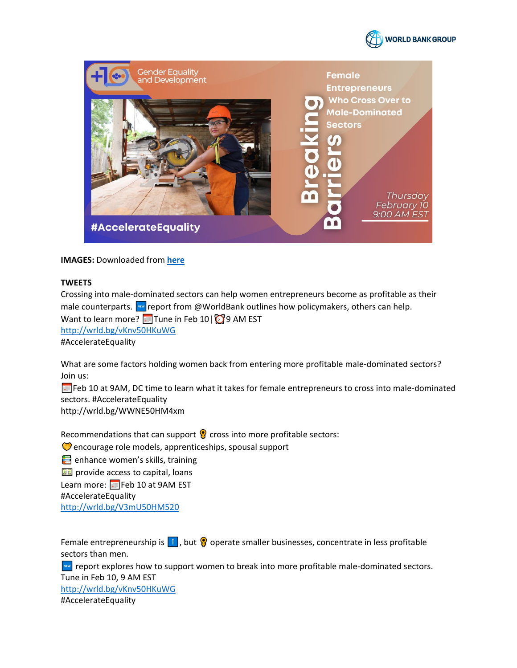



**IMAGES: Downloaded from here** 

## **TWEETS**

Crossing into male-dominated sectors can help women entrepreneurs become as profitable as their male counterparts. Way report from @WorldBank outlines how policymakers, others can help. Want to learn more?  $\Box$  Tune in Feb 10 |  $\Box$  9 AM EST http://wrld.bg/vKnv50HKuWG #AccelerateEquality

What are some factors holding women back from entering more profitable male-dominated sectors? Join us:

Feb 10 at 9AM, DC time to learn what it takes for female entrepreneurs to cross into male-dominated sectors. #AccelerateEquality

http://wrld.bg/WWNE50HM4xm

Recommendations that can support  $\Omega$  cross into more profitable sectors:

Cencourage role models, apprenticeships, spousal support

enhance women's skills, training

**BB** provide access to capital, loans

Learn more: Feb 10 at 9AM EST

#AccelerateEquality

http://wrld.bg/V3mU50HM520

Female entrepreneurship is  $\left| \cdot \right|$ , but  $\left| \cdot \right|$  operate smaller businesses, concentrate in less profitable sectors than men.

**EXECUTE:** report explores how to support women to break into more profitable male-dominated sectors. Tune in Feb 10, 9 AM EST http://wrld.bg/vKnv50HKuWG #AccelerateEquality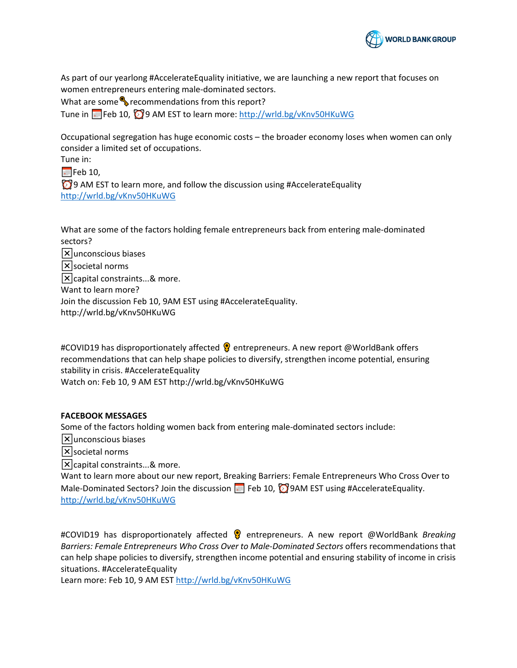

As part of our yearlong #AccelerateEquality initiative, we are launching a new report that focuses on women entrepreneurs entering male-dominated sectors.

What are some  $\bullet$  recommendations from this report?

Tune in **W**Feb 10,  $\bigcirc$  9 AM EST to learn more:<http://wrld.bg/vKnv50HKuWG>

Occupational segregation has huge economic costs – the broader economy loses when women can only consider a limited set of occupations.

Tune in:

 $\blacktriangleright$  Feb 10,

 $\bigcirc$  9 AM EST to learn more, and follow the discussion using #AccelerateEquality <http://wrld.bg/vKnv50HKuWG>

What are some of the factors holding female entrepreneurs back from entering male-dominated sectors?

 $\mathsf{\nabla}$  unconscious biases  $|\mathsf{x}|$ societal norms  $\mathsf{\overline{X}}$  capital constraints...& more. Want to learn more? Join the discussion Feb 10, 9AM EST using #AccelerateEquality. http://wrld.bg/vKnv50HKuWG

#COVID19 has disproportionately affected **@** entrepreneurs. A new report @WorldBank offers recommendations that can help shape policies to diversify, strengthen income potential, ensuring stability in crisis. #AccelerateEquality

Watch on: Feb 10, 9 AM EST http://wrld.bg/vKnv50HKuWG

## **FACEBOOK MESSAGES**

Some of the factors holding women back from entering male-dominated sectors include:

 $|\mathsf{x}|$ unconscious biases

 $\sqrt{\mathsf{x}}$  societal norms

 $\vert \mathsf{x} \vert$  capital constraints...& more.

Want to learn more about our new report, Breaking Barriers: Female Entrepreneurs Who Cross Over to Male-Dominated Sectors? Join the discussion  $\Box$  Feb 10,  $\Box$  9AM EST using #AccelerateEquality. <http://wrld.bg/vKnv50HKuWG>

#COVID19 has disproportionately affected �� entrepreneurs. A new report @WorldBank *Breaking Barriers: Female Entrepreneurs Who Cross Over to Male-Dominated Sectors* offers recommendations that can help shape policies to diversify, strengthen income potential and ensuring stability of income in crisis situations. #AccelerateEquality

Learn more: Feb 10, 9 AM ES[T http://wrld.bg/vKnv50HKuWG](http://wrld.bg/vKnv50HKuWG)